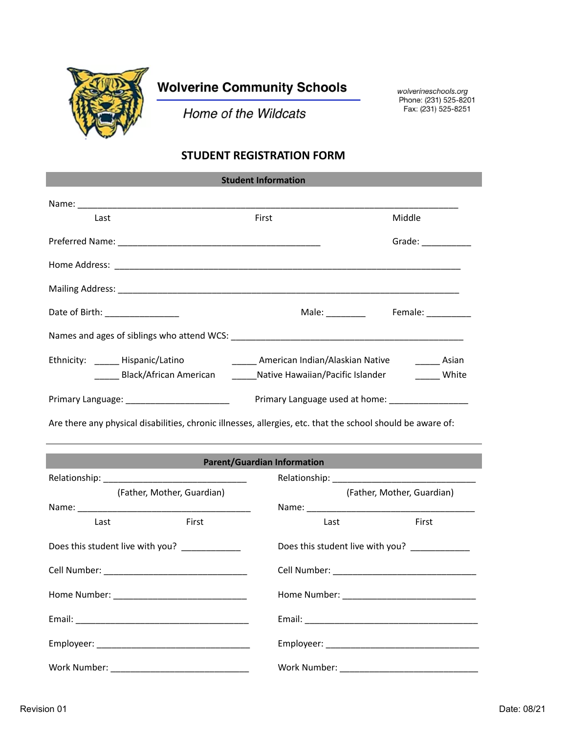

## **Wolverine Community Schools**

Home of the Wildcats

wolverineschools.org Phone: (231) 525-8201 Fax: (231) 525-8251

## **STUDENT REGISTRATION FORM**

| <b>Student Information</b>                                                                                  |                                                  |                                                         |  |  |  |  |
|-------------------------------------------------------------------------------------------------------------|--------------------------------------------------|---------------------------------------------------------|--|--|--|--|
|                                                                                                             |                                                  |                                                         |  |  |  |  |
| Last                                                                                                        | First                                            | Middle                                                  |  |  |  |  |
|                                                                                                             |                                                  | Grade: $\_\_$                                           |  |  |  |  |
|                                                                                                             |                                                  |                                                         |  |  |  |  |
|                                                                                                             |                                                  |                                                         |  |  |  |  |
| Date of Birth: _________________                                                                            |                                                  | Male: _________ Female: ________                        |  |  |  |  |
|                                                                                                             |                                                  |                                                         |  |  |  |  |
| Ethnicity: Hispanic/Latino                                                                                  |                                                  | _______ American Indian/Alaskian Native _________ Asian |  |  |  |  |
| ______ Black/African American                                                                               | Native Hawaiian/Pacific Islander                 | White                                                   |  |  |  |  |
| Primary Language: ___________________________                                                               | Primary Language used at home: _________________ |                                                         |  |  |  |  |
| Are there any physical disabilities, chronic illnesses, allergies, etc. that the school should be aware of: |                                                  |                                                         |  |  |  |  |
|                                                                                                             |                                                  |                                                         |  |  |  |  |
| <b>Parent/Guardian Information</b>                                                                          |                                                  |                                                         |  |  |  |  |
| (Father, Mother, Guardian)                                                                                  |                                                  | (Father, Mother, Guardian)                              |  |  |  |  |
|                                                                                                             |                                                  |                                                         |  |  |  |  |

Last **First** First **Last Last** First Does this student live with you? <br>Does this student live with you? Cell Number: \_\_\_\_\_\_\_\_\_\_\_\_\_\_\_\_\_\_\_\_\_\_\_\_\_\_\_\_\_ Cell Number: \_\_\_\_\_\_\_\_\_\_\_\_\_\_\_\_\_\_\_\_\_\_\_\_\_\_\_\_\_ Home Number: \_\_\_\_\_\_\_\_\_\_\_\_\_\_\_\_\_\_\_\_\_\_\_\_\_\_\_ Home Number: \_\_\_\_\_\_\_\_\_\_\_\_\_\_\_\_\_\_\_\_\_\_\_\_\_\_\_ Email: \_\_\_\_\_\_\_\_\_\_\_\_\_\_\_\_\_\_\_\_\_\_\_\_\_\_\_\_\_\_\_\_\_\_\_ Email: \_\_\_\_\_\_\_\_\_\_\_\_\_\_\_\_\_\_\_\_\_\_\_\_\_\_\_\_\_\_\_\_\_\_\_ Employeer: \_\_\_\_\_\_\_\_\_\_\_\_\_\_\_\_\_\_\_\_\_\_\_\_\_\_\_\_\_\_\_ Employeer: \_\_\_\_\_\_\_\_\_\_\_\_\_\_\_\_\_\_\_\_\_\_\_\_\_\_\_\_\_\_\_ Work Number: \_\_\_\_\_\_\_\_\_\_\_\_\_\_\_\_\_\_\_\_\_\_\_\_\_\_\_\_ Work Number: \_\_\_\_\_\_\_\_\_\_\_\_\_\_\_\_\_\_\_\_\_\_\_\_\_\_\_\_